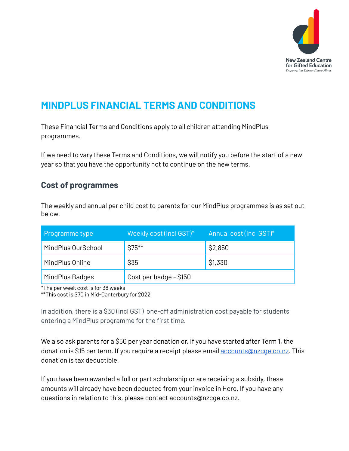

# **MINDPLUS FINANCIAL TERMS AND CONDITIONS**

These Financial Terms and Conditions apply to all children attending MindPlus programmes.

If we need to vary these Terms and Conditions, we will notify you before the start of a new year so that you have the opportunity not to continue on the new terms.

## **Cost of programmes**

The weekly and annual per child cost to parents for our MindPlus programmes is as set out below.

| Programme type     | Weekly cost (incl GST)* | Annual cost (incl GST)* |
|--------------------|-------------------------|-------------------------|
| MindPlus OurSchool | $$75***$                | \$2,850                 |
| MindPlus Online    | \$35                    | \$1,330                 |
| MindPlus Badges    | Cost per badge - \$150  |                         |

\*The per week cost is for 38 weeks

\*\*This cost is \$70 in Mid-Canterbury for 2022

In addition, there is a \$30 (incl GST) one-off administration cost payable for students entering a MindPlus programme for the first time.

We also ask parents for a \$50 per year donation or, if you have started after Term 1, the donation is \$15 per term. If you require a receipt please email [accounts@nzcge.co.nz.](mailto:accounts@nzcge.co.nz) This donation is tax deductible.

If you have been awarded a full or part scholarship or are receiving a subsidy, these amounts will already have been deducted from your invoice in Hero. If you have any questions in relation to this, please contact accounts@nzcge.co.nz.